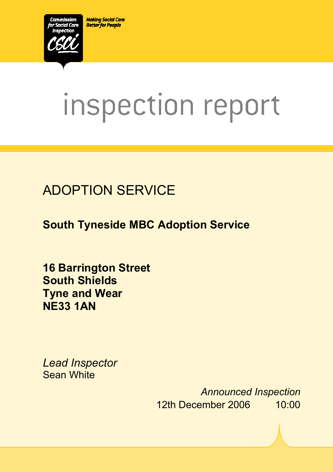**Making Social Care Better for People** 



# inspection report

# ADOPTION SERVICE

**South Tyneside MBC Adoption Service** 

 $S_{\rm 2D}$  and  $S_{\rm 2D}$  and  $S_{\rm 2D}$  and  $S_{\rm 2D}$ . In the service DS1. R01. S.d.  $\Delta$ 

**16 Barrington Street South Shields Tyne and Wear NE33 1AN** 

*Lead Inspector*  Sean White

> *Announced Inspection* 12th December 2006 10:00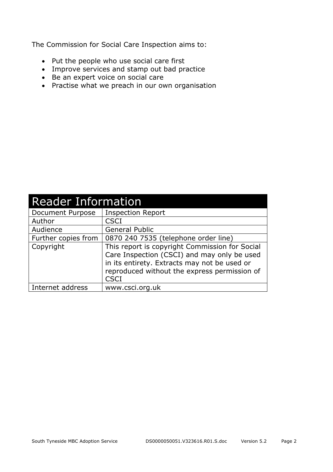The Commission for Social Care Inspection aims to:

- Put the people who use social care first
- Improve services and stamp out bad practice
- Be an expert voice on social care
- Practise what we preach in our own organisation

| <b>Reader Information</b> |                                                                                                                                                                                                              |  |
|---------------------------|--------------------------------------------------------------------------------------------------------------------------------------------------------------------------------------------------------------|--|
| Document Purpose          | <b>Inspection Report</b>                                                                                                                                                                                     |  |
| Author                    | <b>CSCI</b>                                                                                                                                                                                                  |  |
| Audience                  | <b>General Public</b>                                                                                                                                                                                        |  |
| Further copies from       | 0870 240 7535 (telephone order line)                                                                                                                                                                         |  |
| Copyright                 | This report is copyright Commission for Social<br>Care Inspection (CSCI) and may only be used<br>in its entirety. Extracts may not be used or<br>reproduced without the express permission of<br><b>CSCI</b> |  |
| Internet address          | www.csci.org.uk                                                                                                                                                                                              |  |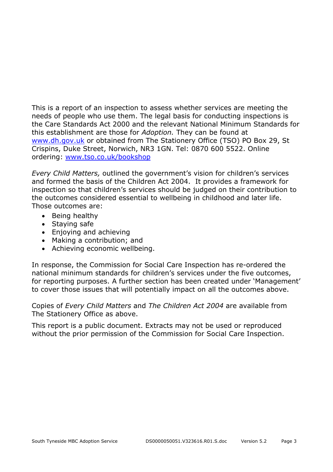This is a report of an inspection to assess whether services are meeting the needs of people who use them. The legal basis for conducting inspections is the Care Standards Act 2000 and the relevant National Minimum Standards for this establishment are those for *Adoption.* They can be found at www.dh.gov.uk or obtained from The Stationery Office (TSO) PO Box 29, St Crispins, Duke Street, Norwich, NR3 1GN. Tel: 0870 600 5522. Online ordering: www.tso.co.uk/bookshop

*Every Child Matters,* outlined the government's vision for children's services and formed the basis of the Children Act 2004. It provides a framework for inspection so that children's services should be judged on their contribution to the outcomes considered essential to wellbeing in childhood and later life. Those outcomes are:

- Being healthy
- Staying safe
- Enjoying and achieving
- Making a contribution; and
- Achieving economic wellbeing.

In response, the Commission for Social Care Inspection has re-ordered the national minimum standards for children's services under the five outcomes, for reporting purposes. A further section has been created under 'Management' to cover those issues that will potentially impact on all the outcomes above.

Copies of *Every Child Matters* and *The Children Act 2004* are available from The Stationery Office as above.

This report is a public document. Extracts may not be used or reproduced without the prior permission of the Commission for Social Care Inspection.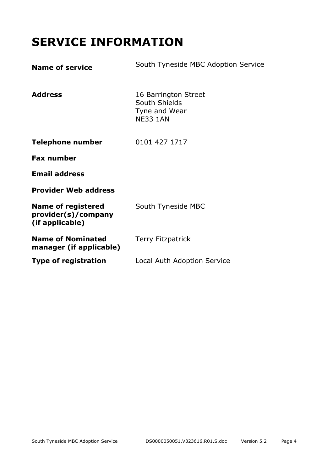# **SERVICE INFORMATION**

| <b>Name of service</b>                                              | South Tyneside MBC Adoption Service                                       |
|---------------------------------------------------------------------|---------------------------------------------------------------------------|
| <b>Address</b>                                                      | 16 Barrington Street<br>South Shields<br>Tyne and Wear<br><b>NE33 1AN</b> |
| <b>Telephone number</b>                                             | 0101 427 1717                                                             |
| <b>Fax number</b>                                                   |                                                                           |
| <b>Email address</b>                                                |                                                                           |
| <b>Provider Web address</b>                                         |                                                                           |
| <b>Name of registered</b><br>provider(s)/company<br>(if applicable) | South Tyneside MBC                                                        |
| <b>Name of Nominated</b><br>manager (if applicable)                 | <b>Terry Fitzpatrick</b>                                                  |
| <b>Type of registration</b>                                         | Local Auth Adoption Service                                               |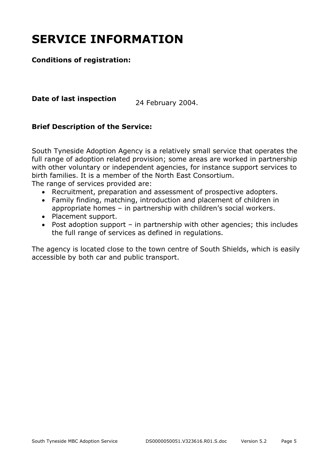# **SERVICE INFORMATION**

#### **Conditions of registration:**

**Date of last inspection** 24 February 2004.

#### **Brief Description of the Service:**

South Tyneside Adoption Agency is a relatively small service that operates the full range of adoption related provision; some areas are worked in partnership with other voluntary or independent agencies, for instance support services to birth families. It is a member of the North East Consortium.

The range of services provided are:

- Recruitment, preparation and assessment of prospective adopters.
- Family finding, matching, introduction and placement of children in appropriate homes – in partnership with children's social workers.
- Placement support.
- Post adoption support in partnership with other agencies; this includes the full range of services as defined in regulations.

The agency is located close to the town centre of South Shields, which is easily accessible by both car and public transport.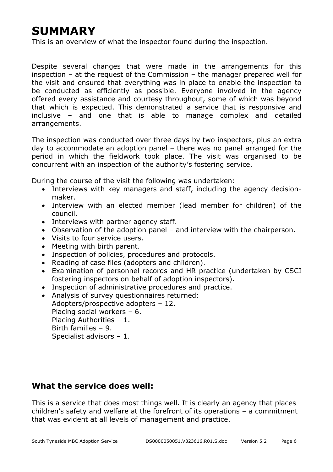# **SUMMARY**

This is an overview of what the inspector found during the inspection.

Despite several changes that were made in the arrangements for this inspection – at the request of the Commission – the manager prepared well for the visit and ensured that everything was in place to enable the inspection to be conducted as efficiently as possible. Everyone involved in the agency offered every assistance and courtesy throughout, some of which was beyond that which is expected. This demonstrated a service that is responsive and inclusive – and one that is able to manage complex and detailed arrangements.

The inspection was conducted over three days by two inspectors, plus an extra day to accommodate an adoption panel – there was no panel arranged for the period in which the fieldwork took place. The visit was organised to be concurrent with an inspection of the authority's fostering service.

During the course of the visit the following was undertaken:

- Interviews with key managers and staff, including the agency decisionmaker.
- Interview with an elected member (lead member for children) of the council.
- Interviews with partner agency staff.
- Observation of the adoption panel and interview with the chairperson.
- Visits to four service users.
- Meeting with birth parent.
- Inspection of policies, procedures and protocols.
- Reading of case files (adopters and children).
- Examination of personnel records and HR practice (undertaken by CSCI fostering inspectors on behalf of adoption inspectors).
- Inspection of administrative procedures and practice.
- Analysis of survey questionnaires returned:

Adopters/prospective adopters – 12. Placing social workers – 6. Placing Authorities – 1. Birth families – 9. Specialist advisors – 1.

#### **What the service does well:**

This is a service that does most things well. It is clearly an agency that places children's safety and welfare at the forefront of its operations – a commitment that was evident at all levels of management and practice.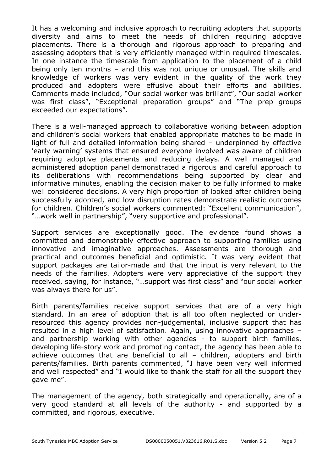It has a welcoming and inclusive approach to recruiting adopters that supports diversity and aims to meet the needs of children requiring adoptive placements. There is a thorough and rigorous approach to preparing and assessing adopters that is very efficiently managed within required timescales. In one instance the timescale from application to the placement of a child being only ten months – and this was not unique or unusual. The skills and knowledge of workers was very evident in the quality of the work they produced and adopters were effusive about their efforts and abilities. Comments made included, "Our social worker was brilliant", "Our social worker was first class", "Exceptional preparation groups" and "The prep groups exceeded our expectations".

There is a well-managed approach to collaborative working between adoption and children's social workers that enabled appropriate matches to be made in light of full and detailed information being shared – underpinned by effective 'early warning' systems that ensured everyone involved was aware of children requiring adoptive placements and reducing delays. A well managed and administered adoption panel demonstrated a rigorous and careful approach to its deliberations with recommendations being supported by clear and informative minutes, enabling the decision maker to be fully informed to make well considered decisions. A very high proportion of looked after children being successfully adopted, and low disruption rates demonstrate realistic outcomes for children. Children's social workers commented: "Excellent communication", "…work well in partnership", "very supportive and professional".

Support services are exceptionally good. The evidence found shows a committed and demonstrably effective approach to supporting families using innovative and imaginative approaches. Assessments are thorough and practical and outcomes beneficial and optimistic. It was very evident that support packages are tailor-made and that the input is very relevant to the needs of the families. Adopters were very appreciative of the support they received, saying, for instance, "…support was first class" and "our social worker was always there for us".

Birth parents/families receive support services that are of a very high standard. In an area of adoption that is all too often neglected or underresourced this agency provides non-judgemental, inclusive support that has resulted in a high level of satisfaction. Again, using innovative approaches – and partnership working with other agencies - to support birth families, developing life-story work and promoting contact, the agency has been able to achieve outcomes that are beneficial to all – children, adopters and birth parents/families. Birth parents commented, "I have been very well informed and well respected" and "I would like to thank the staff for all the support they gave me".

The management of the agency, both strategically and operationally, are of a very good standard at all levels of the authority - and supported by a committed, and rigorous, executive.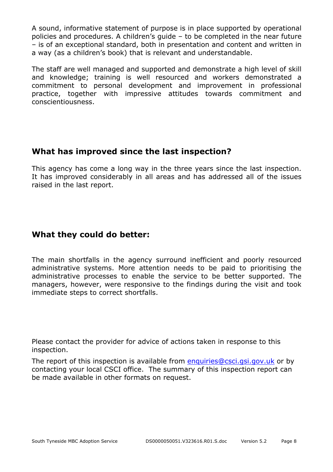A sound, informative statement of purpose is in place supported by operational policies and procedures. A children's guide – to be completed in the near future – is of an exceptional standard, both in presentation and content and written in a way (as a children's book) that is relevant and understandable.

The staff are well managed and supported and demonstrate a high level of skill and knowledge; training is well resourced and workers demonstrated a commitment to personal development and improvement in professional practice, together with impressive attitudes towards commitment and conscientiousness.

#### **What has improved since the last inspection?**

This agency has come a long way in the three years since the last inspection. It has improved considerably in all areas and has addressed all of the issues raised in the last report.

#### **What they could do better:**

The main shortfalls in the agency surround inefficient and poorly resourced administrative systems. More attention needs to be paid to prioritising the administrative processes to enable the service to be better supported. The managers, however, were responsive to the findings during the visit and took immediate steps to correct shortfalls.

Please contact the provider for advice of actions taken in response to this inspection.

The report of this inspection is available from enquiries@csci.gsi.gov.uk or by contacting your local CSCI office. The summary of this inspection report can be made available in other formats on request.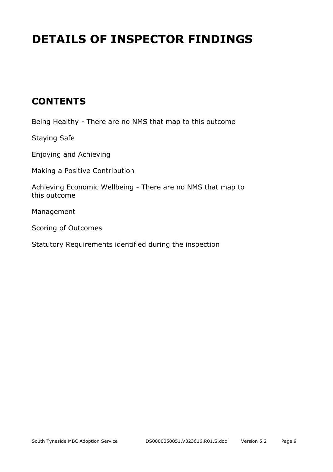# **DETAILS OF INSPECTOR FINDINGS**

## **CONTENTS**

Being Healthy - There are no NMS that map to this outcome

Staying Safe

Enjoying and Achieving

Making a Positive Contribution

Achieving Economic Wellbeing - There are no NMS that map to this outcome

Management

Scoring of Outcomes

Statutory Requirements identified during the inspection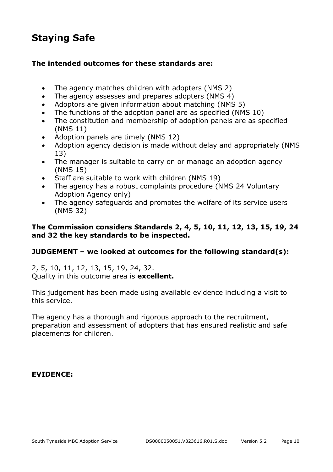## **Staying Safe**

#### **The intended outcomes for these standards are:**

- The agency matches children with adopters (NMS 2)
- The agency assesses and prepares adopters (NMS 4)
- Adoptors are given information about matching (NMS 5)
- The functions of the adoption panel are as specified (NMS 10)
- The constitution and membership of adoption panels are as specified (NMS 11)
- Adoption panels are timely (NMS 12)
- Adoption agency decision is made without delay and appropriately (NMS 13)
- The manager is suitable to carry on or manage an adoption agency (NMS 15)
- Staff are suitable to work with children (NMS 19)
- The agency has a robust complaints procedure (NMS 24 Voluntary Adoption Agency only)
- The agency safeguards and promotes the welfare of its service users (NMS 32)

#### **The Commission considers Standards 2, 4, 5, 10, 11, 12, 13, 15, 19, 24 and 32 the key standards to be inspected.**

#### **JUDGEMENT – we looked at outcomes for the following standard(s):**

2, 5, 10, 11, 12, 13, 15, 19, 24, 32. Quality in this outcome area is **excellent.** 

This judgement has been made using available evidence including a visit to this service.

The agency has a thorough and rigorous approach to the recruitment, preparation and assessment of adopters that has ensured realistic and safe placements for children.

#### **EVIDENCE:**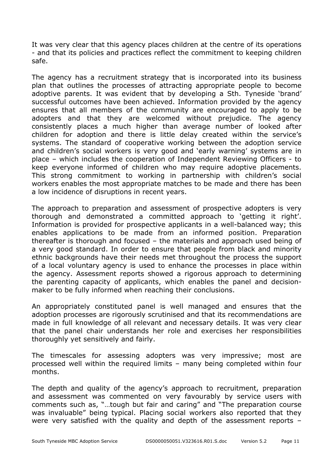It was very clear that this agency places children at the centre of its operations - and that its policies and practices reflect the commitment to keeping children safe.

The agency has a recruitment strategy that is incorporated into its business plan that outlines the processes of attracting appropriate people to become adoptive parents. It was evident that by developing a Sth. Tyneside 'brand' successful outcomes have been achieved. Information provided by the agency ensures that all members of the community are encouraged to apply to be adopters and that they are welcomed without prejudice. The agency consistently places a much higher than average number of looked after children for adoption and there is little delay created within the service's systems. The standard of cooperative working between the adoption service and children's social workers is very good and 'early warning' systems are in place – which includes the cooperation of Independent Reviewing Officers - to keep everyone informed of children who may require adoptive placements. This strong commitment to working in partnership with children's social workers enables the most appropriate matches to be made and there has been a low incidence of disruptions in recent years.

The approach to preparation and assessment of prospective adopters is very thorough and demonstrated a committed approach to 'getting it right'. Information is provided for prospective applicants in a well-balanced way; this enables applications to be made from an informed position. Preparation thereafter is thorough and focused – the materials and approach used being of a very good standard. In order to ensure that people from black and minority ethnic backgrounds have their needs met throughout the process the support of a local voluntary agency is used to enhance the processes in place within the agency. Assessment reports showed a rigorous approach to determining the parenting capacity of applicants, which enables the panel and decisionmaker to be fully informed when reaching their conclusions.

An appropriately constituted panel is well managed and ensures that the adoption processes are rigorously scrutinised and that its recommendations are made in full knowledge of all relevant and necessary details. It was very clear that the panel chair understands her role and exercises her responsibilities thoroughly yet sensitively and fairly.

The timescales for assessing adopters was very impressive; most are processed well within the required limits – many being completed within four months.

The depth and quality of the agency's approach to recruitment, preparation and assessment was commented on very favourably by service users with comments such as, "…tough but fair and caring" and "The preparation course was invaluable" being typical. Placing social workers also reported that they were very satisfied with the quality and depth of the assessment reports –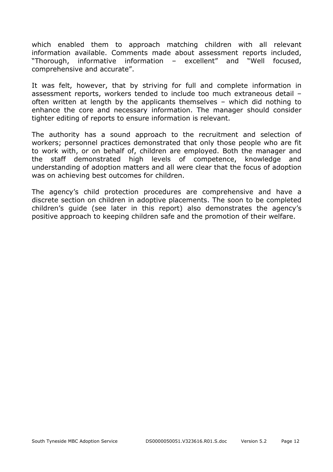which enabled them to approach matching children with all relevant information available. Comments made about assessment reports included, "Thorough, informative information – excellent" and "Well focused, comprehensive and accurate".

It was felt, however, that by striving for full and complete information in assessment reports, workers tended to include too much extraneous detail – often written at length by the applicants themselves – which did nothing to enhance the core and necessary information. The manager should consider tighter editing of reports to ensure information is relevant.

The authority has a sound approach to the recruitment and selection of workers; personnel practices demonstrated that only those people who are fit to work with, or on behalf of, children are employed. Both the manager and the staff demonstrated high levels of competence, knowledge and understanding of adoption matters and all were clear that the focus of adoption was on achieving best outcomes for children.

The agency's child protection procedures are comprehensive and have a discrete section on children in adoptive placements. The soon to be completed children's guide (see later in this report) also demonstrates the agency's positive approach to keeping children safe and the promotion of their welfare.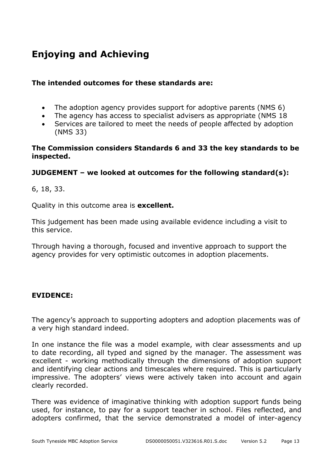## **Enjoying and Achieving**

#### **The intended outcomes for these standards are:**

- The adoption agency provides support for adoptive parents (NMS 6)
- The agency has access to specialist advisers as appropriate (NMS 18
- Services are tailored to meet the needs of people affected by adoption (NMS 33)

#### **The Commission considers Standards 6 and 33 the key standards to be inspected.**

#### **JUDGEMENT – we looked at outcomes for the following standard(s):**

6, 18, 33.

Quality in this outcome area is **excellent.** 

This judgement has been made using available evidence including a visit to this service.

Through having a thorough, focused and inventive approach to support the agency provides for very optimistic outcomes in adoption placements.

#### **EVIDENCE:**

The agency's approach to supporting adopters and adoption placements was of a very high standard indeed.

In one instance the file was a model example, with clear assessments and up to date recording, all typed and signed by the manager. The assessment was excellent - working methodically through the dimensions of adoption support and identifying clear actions and timescales where required. This is particularly impressive. The adopters' views were actively taken into account and again clearly recorded.

There was evidence of imaginative thinking with adoption support funds being used, for instance, to pay for a support teacher in school. Files reflected, and adopters confirmed, that the service demonstrated a model of inter-agency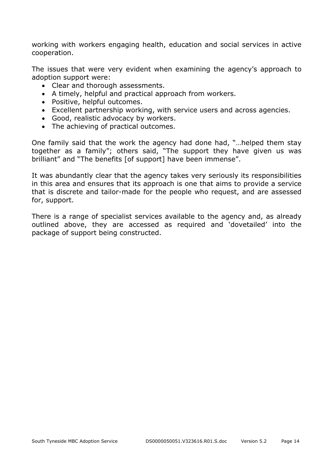working with workers engaging health, education and social services in active cooperation.

The issues that were very evident when examining the agency's approach to adoption support were:

- Clear and thorough assessments.
- A timely, helpful and practical approach from workers.
- Positive, helpful outcomes.
- Excellent partnership working, with service users and across agencies.
- Good, realistic advocacy by workers.
- The achieving of practical outcomes.

One family said that the work the agency had done had, "…helped them stay together as a family"; others said, "The support they have given us was brilliant" and "The benefits [of support] have been immense".

It was abundantly clear that the agency takes very seriously its responsibilities in this area and ensures that its approach is one that aims to provide a service that is discrete and tailor-made for the people who request, and are assessed for, support.

There is a range of specialist services available to the agency and, as already outlined above, they are accessed as required and 'dovetailed' into the package of support being constructed.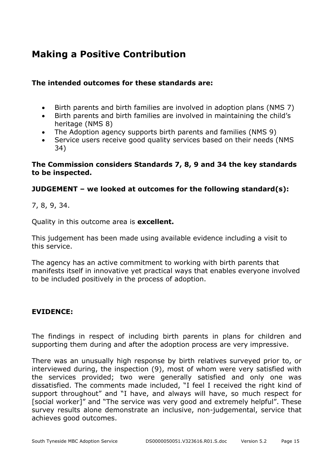## **Making a Positive Contribution**

#### **The intended outcomes for these standards are:**

- Birth parents and birth families are involved in adoption plans (NMS 7)
- Birth parents and birth families are involved in maintaining the child's heritage (NMS 8)
- The Adoption agency supports birth parents and families (NMS 9)
- Service users receive good quality services based on their needs (NMS 34)

#### **The Commission considers Standards 7, 8, 9 and 34 the key standards to be inspected.**

#### **JUDGEMENT – we looked at outcomes for the following standard(s):**

7, 8, 9, 34.

Quality in this outcome area is **excellent.** 

This judgement has been made using available evidence including a visit to this service.

The agency has an active commitment to working with birth parents that manifests itself in innovative yet practical ways that enables everyone involved to be included positively in the process of adoption.

#### **EVIDENCE:**

The findings in respect of including birth parents in plans for children and supporting them during and after the adoption process are very impressive.

There was an unusually high response by birth relatives surveyed prior to, or interviewed during, the inspection (9), most of whom were very satisfied with the services provided; two were generally satisfied and only one was dissatisfied. The comments made included, "I feel I received the right kind of support throughout" and "I have, and always will have, so much respect for [social worker]" and "The service was very good and extremely helpful". These survey results alone demonstrate an inclusive, non-judgemental, service that achieves good outcomes.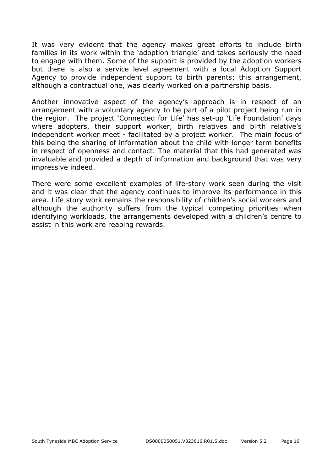It was very evident that the agency makes great efforts to include birth families in its work within the 'adoption triangle' and takes seriously the need to engage with them. Some of the support is provided by the adoption workers but there is also a service level agreement with a local Adoption Support Agency to provide independent support to birth parents; this arrangement, although a contractual one, was clearly worked on a partnership basis.

Another innovative aspect of the agency's approach is in respect of an arrangement with a voluntary agency to be part of a pilot project being run in the region. The project 'Connected for Life' has set-up 'Life Foundation' days where adopters, their support worker, birth relatives and birth relative's independent worker meet - facilitated by a project worker. The main focus of this being the sharing of information about the child with longer term benefits in respect of openness and contact. The material that this had generated was invaluable and provided a depth of information and background that was very impressive indeed.

There were some excellent examples of life-story work seen during the visit and it was clear that the agency continues to improve its performance in this area. Life story work remains the responsibility of children's social workers and although the authority suffers from the typical competing priorities when identifying workloads, the arrangements developed with a children's centre to assist in this work are reaping rewards.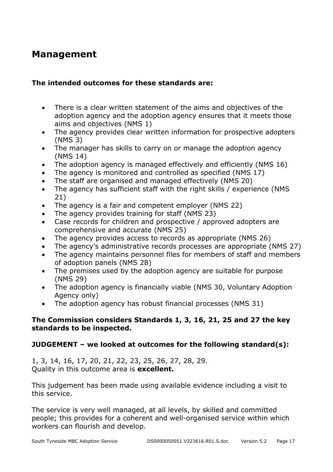### **Management**

#### **The intended outcomes for these standards are:**

- There is a clear written statement of the aims and objectives of the adoption agency and the adoption agency ensures that it meets those aims and objectives (NMS 1)
- The agency provides clear written information for prospective adopters (NMS 3)
- The manager has skills to carry on or manage the adoption agency (NMS 14)
- The adoption agency is managed effectively and efficiently (NMS 16)
- The agency is monitored and controlled as specified (NMS 17)
- The staff are organised and managed effectively (NMS 20)
- The agency has sufficient staff with the right skills / experience (NMS 21)
- The agency is a fair and competent employer (NMS 22)
- The agency provides training for staff (NMS 23)
- Case records for children and prospective / approved adopters are comprehensive and accurate (NMS 25)
- The agency provides access to records as appropriate (NMS 26)
- The agency's administrative records processes are appropriate (NMS 27)
- The agency maintains personnel files for members of staff and members of adoption panels (NMS 28)
- The premises used by the adoption agency are suitable for purpose (NMS 29)
- The adoption agency is financially viable (NMS 30, Voluntary Adoption Agency only)
- The adoption agency has robust financial processes (NMS 31)

#### **The Commission considers Standards 1, 3, 16, 21, 25 and 27 the key standards to be inspected.**

#### **JUDGEMENT – we looked at outcomes for the following standard(s):**

1, 3, 14, 16, 17, 20, 21, 22, 23, 25, 26, 27, 28, 29. Quality in this outcome area is **excellent.** 

This judgement has been made using available evidence including a visit to this service.

The service is very well managed, at all levels, by skilled and committed people; this provides for a coherent and well-organised service within which workers can flourish and develop.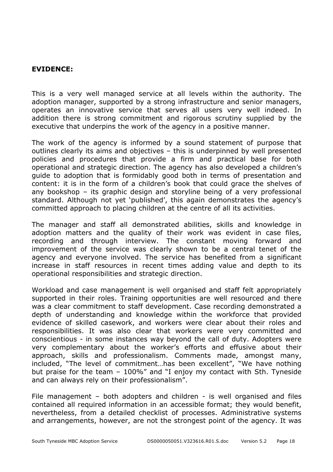#### **EVIDENCE:**

This is a very well managed service at all levels within the authority. The adoption manager, supported by a strong infrastructure and senior managers, operates an innovative service that serves all users very well indeed. In addition there is strong commitment and rigorous scrutiny supplied by the executive that underpins the work of the agency in a positive manner.

The work of the agency is informed by a sound statement of purpose that outlines clearly its aims and objectives – this is underpinned by well presented policies and procedures that provide a firm and practical base for both operational and strategic direction. The agency has also developed a children's guide to adoption that is formidably good both in terms of presentation and content: it is in the form of a children's book that could grace the shelves of any bookshop – its graphic design and storyline being of a very professional standard. Although not yet 'published', this again demonstrates the agency's committed approach to placing children at the centre of all its activities.

The manager and staff all demonstrated abilities, skills and knowledge in adoption matters and the quality of their work was evident in case files, recording and through interview. The constant moving forward and improvement of the service was clearly shown to be a central tenet of the agency and everyone involved. The service has benefited from a significant increase in staff resources in recent times adding value and depth to its operational responsibilities and strategic direction.

Workload and case management is well organised and staff felt appropriately supported in their roles. Training opportunities are well resourced and there was a clear commitment to staff development. Case recording demonstrated a depth of understanding and knowledge within the workforce that provided evidence of skilled casework, and workers were clear about their roles and responsibilities. It was also clear that workers were very committed and conscientious - in some instances way beyond the call of duty. Adopters were very complementary about the worker's efforts and effusive about their approach, skills and professionalism. Comments made, amongst many, included, "The level of commitment...has been excellent", "We have nothing but praise for the team – 100%" and "I enjoy my contact with Sth. Tyneside and can always rely on their professionalism".

File management – both adopters and children - is well organised and files contained all required information in an accessible format; they would benefit, nevertheless, from a detailed checklist of processes. Administrative systems and arrangements, however, are not the strongest point of the agency. It was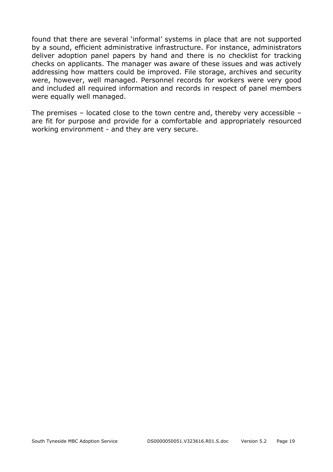found that there are several 'informal' systems in place that are not supported by a sound, efficient administrative infrastructure. For instance, administrators deliver adoption panel papers by hand and there is no checklist for tracking checks on applicants. The manager was aware of these issues and was actively addressing how matters could be improved. File storage, archives and security were, however, well managed. Personnel records for workers were very good and included all required information and records in respect of panel members were equally well managed.

The premises – located close to the town centre and, thereby very accessible – are fit for purpose and provide for a comfortable and appropriately resourced working environment - and they are very secure.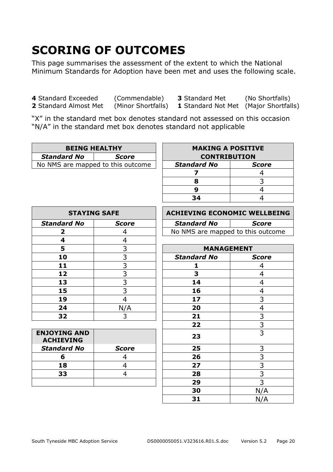# **SCORING OF OUTCOMES**

This page summarises the assessment of the extent to which the National Minimum Standards for Adoption have been met and uses the following scale.

**4** Standard Exceeded (Commendable) **3** Standard Met (No Shortfalls) **2** Standard Almost Met (Minor Shortfalls) **1** Standard Not Met (Major Shortfalls)

"X" in the standard met box denotes standard not assessed on this occasion "N/A" in the standard met box denotes standard not applicable

| <b>BEING HEALTHY</b>              |  | <b>MAKING A POSITIVE</b> |       |
|-----------------------------------|--|--------------------------|-------|
| <b>Standard No</b><br>Score       |  | <b>CONTRIBUTION</b>      |       |
| No NMS are mapped to this outcome |  | Standard No              | Score |

| <b>BEING HEALTHY</b>       |              | <b>MAKING A POSITIVE</b> |              |  |
|----------------------------|--------------|--------------------------|--------------|--|
| rd No                      | <b>Score</b> | <b>CONTRIBUTION</b>      |              |  |
| ire mapped to this outcome |              | <b>Standard No</b>       | <b>Score</b> |  |
|                            |              |                          |              |  |
|                            |              |                          |              |  |
|                            |              |                          |              |  |
|                            |              | 34                       |              |  |

| <b>STAYING SAFE</b> |              | <b>ACHIEVING ECONOMIC WELLBI</b> |                   |
|---------------------|--------------|----------------------------------|-------------------|
| <b>Standard No</b>  | <b>Score</b> | <b>Standard No</b>               | Score             |
|                     |              | No NMS are mapped to this outco  |                   |
| 4                   |              |                                  |                   |
| 5                   | 3            |                                  | <b>MANAGEMENT</b> |
| 10                  | 3            | <b>Standard No</b>               | <b>Score</b>      |
| 11                  |              |                                  |                   |
| 12                  |              |                                  |                   |
| 13                  |              | 14                               |                   |
| 15                  |              | 16                               |                   |
| 19                  |              | 17                               |                   |
| 24                  | N/A          | 20                               |                   |
| 32                  |              | 21                               |                   |

| <b>ENJOYING AND</b><br>23<br><b>ACHIEVING</b> |  |
|-----------------------------------------------|--|
| <b>Standard No</b><br>25<br><b>Score</b>      |  |
| 26                                            |  |
| 27<br>18                                      |  |
| 33<br>28                                      |  |
| 29                                            |  |

| <b>STAYING SAFE</b> |       | ACHIEVING ECONOMIC WELLBEING      |       |  |
|---------------------|-------|-----------------------------------|-------|--|
| 'ard No             | Score | <b>Standard No</b>                | Score |  |
|                     |       | No NMS are mapped to this outcome |       |  |

| 5                               | 3              | <b>MANAGEMENT</b>  |                |  |
|---------------------------------|----------------|--------------------|----------------|--|
| 10                              | 3              | <b>Standard No</b> | <b>Score</b>   |  |
| 11                              | 3              | 1                  | 4              |  |
| 12                              | 3              | 3                  | $\overline{4}$ |  |
| 13                              | 3              | 14                 | $\overline{4}$ |  |
| 15                              | 3              | 16                 | 4              |  |
| 19                              | $\overline{4}$ | 17                 | 3              |  |
| 24                              | N/A            | 20                 | $\overline{4}$ |  |
| 32                              | 3              | 21                 | 3              |  |
|                                 |                | 22                 | 3              |  |
| <b>ING AND</b><br><b>IEVING</b> |                | 23                 | 3              |  |
| dard No                         | <b>Score</b>   | 25                 | 3              |  |
| 6                               | $\overline{4}$ | 26                 | 3              |  |
| 18                              | $\overline{4}$ | 27                 | 3              |  |
| 33                              | $\overline{4}$ | 28                 | 3              |  |
|                                 |                | 29                 | 3              |  |
|                                 |                | 30                 | N/A            |  |
|                                 |                | 31                 | N/A            |  |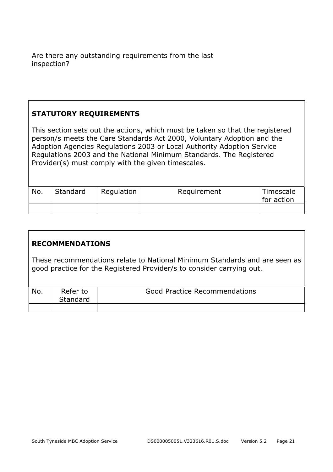Are there any outstanding requirements from the last inspection?

#### **STATUTORY REQUIREMENTS**

This section sets out the actions, which must be taken so that the registered person/s meets the Care Standards Act 2000, Voluntary Adoption and the Adoption Agencies Regulations 2003 or Local Authority Adoption Service Regulations 2003 and the National Minimum Standards. The Registered Provider(s) must comply with the given timescales.

| No. | Standard | Regulation | Requirement | Timescale<br>for action |
|-----|----------|------------|-------------|-------------------------|
|     |          |            |             |                         |

#### **RECOMMENDATIONS**

These recommendations relate to National Minimum Standards and are seen as good practice for the Registered Provider/s to consider carrying out.

| No. | Refer to<br>Standard | <b>Good Practice Recommendations</b> |
|-----|----------------------|--------------------------------------|
|     |                      |                                      |